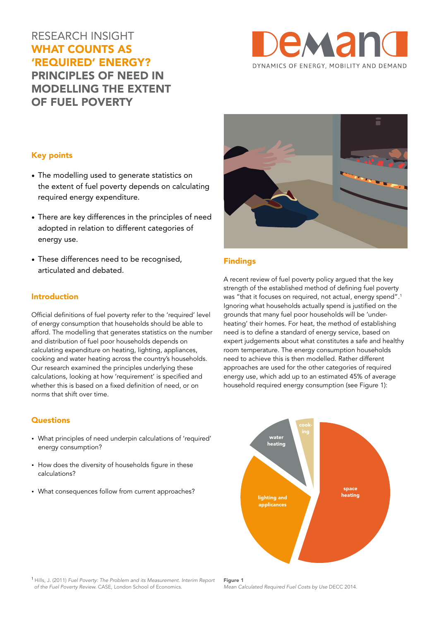# RESEARCH INSIGHT WHAT COUNTS AS 'REQUIRED' ENERGY? PRINCIPLES OF NEED IN MODELLING THE EXTENT OF FUEL POVERTY



#### Key points

- The modelling used to generate statistics on the extent of fuel poverty depends on calculating required energy expenditure.
- There are key differences in the principles of need adopted in relation to different categories of energy use.
- These differences need to be recognised, articulated and debated.

#### Introduction

Official definitions of fuel poverty refer to the 'required' level of energy consumption that households should be able to afford. The modelling that generates statistics on the number and distribution of fuel poor households depends on calculating expenditure on heating, lighting, appliances, cooking and water heating across the country's households. Our research examined the principles underlying these calculations, looking at how 'requirement' is specified and whether this is based on a fixed definition of need, or on norms that shift over time.

#### **Questions**

- What principles of need underpin calculations of 'required' energy consumption?
- How does the diversity of households figure in these calculations?
- What consequences follow from current approaches?



### Findings

A recent review of fuel poverty policy argued that the key strength of the established method of defining fuel poverty was "that it focuses on required, not actual, energy spend".<sup>1</sup> Ignoring what households actually spend is justified on the grounds that many fuel poor households will be 'underheating' their homes. For heat, the method of establishing need is to define a standard of energy service, based on expert judgements about what constitutes a safe and healthy room temperature. The energy consumption households need to achieve this is then modelled. Rather different approaches are used for the other categories of required energy use, which add up to an estimated 45% of average household required energy consumption (see Figure 1):



1 Hills, J. (2011) *Fuel Poverty: The Problem and its Measurement. Interim Report of the Fuel Poverty Review.* CASE, London School of Economics.

Figure 1 *Mean Calculated Required Fuel Costs by Use* DECC 2014.